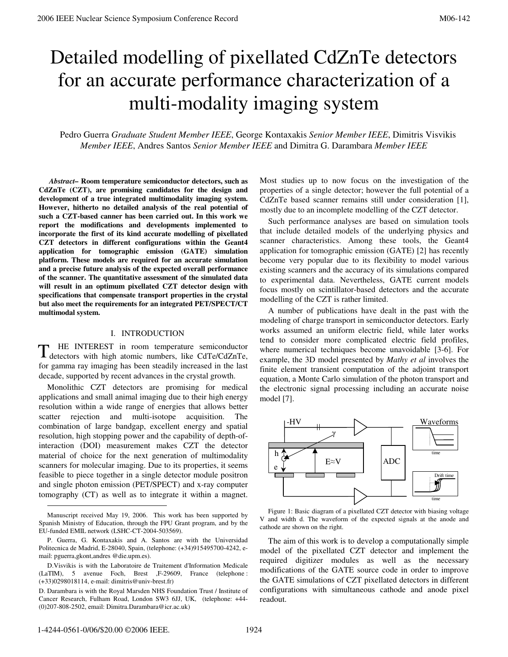# Detailed modelling of pixellated CdZnTe detectors for an accurate performance characterization of a multi-modality imaging system

Pedro Guerra *Graduate Student Member IEEE*, George Kontaxakis *Senior Member IEEE*, Dimitris Visvikis *Member IEEE*, Andres Santos *Senior Member IEEE* and Dimitra G. Darambara *Member IEEE*

 *Abstract–* **Room temperature semiconductor detectors, such as CdZnTe (CZT), are promising candidates for the design and development of a true integrated multimodality imaging system. However, hitherto no detailed analysis of the real potential of such a CZT-based canner has been carried out. In this work we report the modifications and developments implemented to incorporate the first of its kind accurate modelling of pixellated CZT detectors in different configurations within the Geant4 application for tomographic emission (GATE) simulation platform. These models are required for an accurate simulation and a precise future analysis of the expected overall performance of the scanner. The quantitative assessment of the simulated data will result in an optimum pixellated CZT detector design with specifications that compensate transport properties in the crystal but also meet the requirements for an integrated PET/SPECT/CT multimodal system.** 

# I. INTRODUCTION

HE INTEREST in room temperature semiconductor T HE INTEREST in room temperature semiconductor detectors with high atomic numbers, like CdTe/CdZnTe, for gamma ray imaging has been steadily increased in the last decade, supported by recent advances in the crystal growth.

Monolithic CZT detectors are promising for medical applications and small animal imaging due to their high energy resolution within a wide range of energies that allows better scatter rejection and multi-isotope acquisition. The combination of large bandgap, excellent energy and spatial resolution, high stopping power and the capability of depth-ofinteraction (DOI) measurement makes CZT the detector material of choice for the next generation of multimodality scanners for molecular imaging. Due to its properties, it seems feasible to piece together in a single detector module positron and single photon emission (PET/SPECT) and x-ray computer tomography (CT) as well as to integrate it within a magnet. Most studies up to now focus on the investigation of the properties of a single detector; however the full potential of a CdZnTe based scanner remains still under consideration [1], mostly due to an incomplete modelling of the CZT detector.

Such performance analyses are based on simulation tools that include detailed models of the underlying physics and scanner characteristics. Among these tools, the Geant4 application for tomographic emission (GATE) [2] has recently become very popular due to its flexibility to model various existing scanners and the accuracy of its simulations compared to experimental data. Nevertheless, GATE current models focus mostly on scintillator-based detectors and the accurate modelling of the CZT is rather limited.

A number of publications have dealt in the past with the modeling of charge transport in semiconductor detectors. Early works assumed an uniform electric field, while later works tend to consider more complicated electric field profiles, where numerical techniques become unavoidable [3-6]. For example, the 3D model presented by *Mathy et al* involves the finite element transient computation of the adjoint transport equation, a Monte Carlo simulation of the photon transport and the electronic signal processing including an accurate noise model [7].





The aim of this work is to develop a computationally simple model of the pixellated CZT detector and implement the required digitizer modules as well as the necessary modifications of the GATE source code in order to improve the GATE simulations of CZT pixellated detectors in different configurations with simultaneous cathode and anode pixel readout.

-

Manuscript received May 19, 2006. This work has been supported by Spanish Ministry of Education, through the FPU Grant program, and by the EU-funded EMIL network (LSHC-CT-2004-503569).

P. Guerra, G. Kontaxakis and A. Santos are with the Universidad Politecnica de Madrid, E-28040, Spain, (telephone: (+34)915495700-4242, email: pguerra,gkont,andres @die.upm.es).

D.Visvikis is with the Laboratoire de Traitement d'Information Medicale (LaTIM), 5 avenue Foch, Brest ,F-29609, France (telephone : (+33)0298018114, e-mail: dimitris@univ-brest.fr)

D. Darambara is with the Royal Marsden NHS Foundation Trust / Institute of Cancer Research, Fulham Road, London SW3 6JJ, UK, (telephone: +44- (0)207-808-2502, email: Dimitra.Darambara@icr.ac.uk)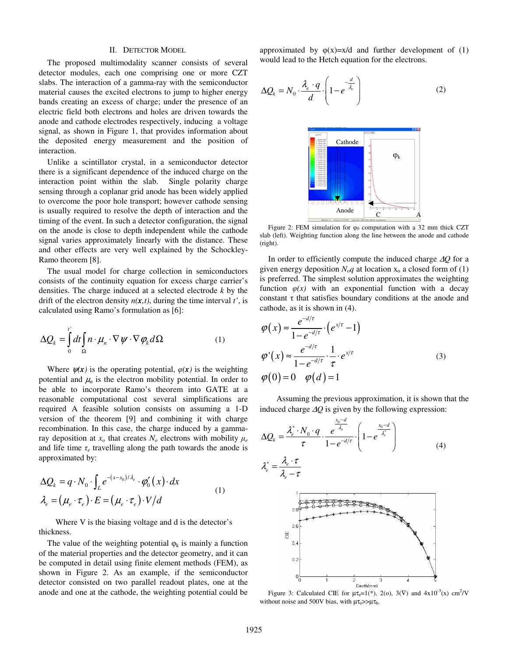#### II. DETECTOR MODEL

The proposed multimodality scanner consists of several detector modules, each one comprising one or more CZT slabs. The interaction of a gamma-ray with the semiconductor material causes the excited electrons to jump to higher energy bands creating an excess of charge; under the presence of an electric field both electrons and holes are driven towards the anode and cathode electrodes respectively, inducing a voltage signal, as shown in Figure 1, that provides information about the deposited energy measurement and the position of interaction.

Unlike a scintillator crystal, in a semiconductor detector there is a significant dependence of the induced charge on the interaction point within the slab. Single polarity charge sensing through a coplanar grid anode has been widely applied to overcome the poor hole transport; however cathode sensing is usually required to resolve the depth of interaction and the timing of the event. In such a detector configuration, the signal on the anode is close to depth independent while the cathode signal varies approximately linearly with the distance. These and other effects are very well explained by the Schockley-Ramo theorem [8].

The usual model for charge collection in semiconductors consists of the continuity equation for excess charge carrier's densities. The charge induced at a selected electrode *k* by the drift of the electron density  $n(x,t)$ , during the time interval *t'*, is calculated using Ramo's formulation as [6]:

$$
\Delta Q_k = \int_0^l dt \int_{\Omega} n \cdot \mu_n \cdot \nabla \psi \cdot \nabla \varphi_k d\Omega \tag{1}
$$

Where  $\psi(x)$  is the operating potential,  $\varphi(x)$  is the weighting potential and  $\mu_n$  is the electron mobility potential. In order to be able to incorporate Ramo's theorem into GATE at a reasonable computational cost several simplifications are required A feasible solution consists on assuming a 1-D version of the theorem [9] and combining it with charge recombination. In this case, the charge induced by a gammaray deposition at  $x<sub>o</sub>$  that creates  $N<sub>o</sub>$  electrons with mobility  $\mu<sub>e</sub>$ and life time  $\tau_e$  travelling along the path towards the anode is approximated by:

$$
\Delta Q_k = q \cdot N_0 \cdot \int_L e^{-(x-x_0)/\lambda_e} \cdot \phi'_0(x) \cdot dx
$$
  

$$
\lambda_e = (\mu_e \cdot \tau_e) \cdot E = (\mu_e \cdot \tau_e) \cdot V/d
$$
 (1)

 Where V is the biasing voltage and d is the detector's thickness.

The value of the weighting potential  $\varphi_k$  is mainly a function of the material properties and the detector geometry, and it can be computed in detail using finite element methods (FEM), as shown in Figure 2. As an example, if the semiconductor detector consisted on two parallel readout plates, one at the anode and one at the cathode, the weighting potential could be approximated by  $\varphi(x)=x/d$  and further development of (1) would lead to the Hetch equation for the electrons.

$$
\Delta Q_k = N_0 \cdot \frac{\lambda_e \cdot q}{d} \cdot \left(1 - e^{-\frac{d}{\lambda_e}}\right) \tag{2}
$$



Figure 2: FEM simulation for  $\varphi_0$  computation with a 32 mm thick CZT slab (left). Weighting function along the line between the anode and cathode (right).

In order to efficiently compute the induced charge ∆*Q* for a given energy deposition  $N_oq$  at location  $x_o$  a closed form of (1) is preferred. The simplest solution approximates the weighting function  $\varphi(x)$  with an exponential function with a decay constant  $\tau$  that satisfies boundary conditions at the anode and cathode, as it is shown in (4).

$$
\varphi(x) \approx \frac{e^{-d/\tau}}{1 - e^{-d/\tau}} \cdot \left(e^{x/\tau} - 1\right)
$$
  
\n
$$
\varphi'(x) \approx \frac{e^{-d/\tau}}{1 - e^{-d/\tau}} \cdot \frac{1}{\tau} \cdot e^{x/\tau}
$$
  
\n
$$
\varphi(0) = 0 \quad \varphi(d) = 1
$$
\n(3)

 Assuming the previous approximation, it is shown that the induced charge ∆*Q* is given by the following expression:

$$
\Delta Q_{k} = \frac{\lambda_{e}^{*} \cdot N_{0} \cdot q}{\tau} \cdot \frac{e^{\frac{x_{0} - d}{\lambda_{e}}}}{1 - e^{-d/\tau}} \cdot \left(1 - e^{\frac{x_{0} - d}{\lambda_{e}^{*}}}\right)
$$
(4)  

$$
\lambda_{e}^{*} = \frac{\lambda_{e} \cdot \tau}{\lambda_{e} - \tau}
$$
  

$$
\frac{1}{\lambda_{e} \cdot \tau}
$$
  

$$
\frac{1}{\lambda_{e} \cdot \tau}
$$
  

$$
\frac{1}{\lambda_{e} \cdot \tau}
$$
  

$$
\frac{1}{\lambda_{e} \cdot \tau}
$$
  

$$
\frac{1}{\lambda_{e} \cdot \tau}
$$
  

$$
\frac{1}{\lambda_{e} \cdot \tau}
$$

Depth(mm) Figure 3: Calculated CIE for  $\mu \tau_e = 1(*)$ , 2(o), 3( $\nabla$ ) and 4x10<sup>-3</sup>(x) cm<sup>2</sup>/V without noise and 500V bias, with  $\mu\tau_e >> \mu\tau_h$ .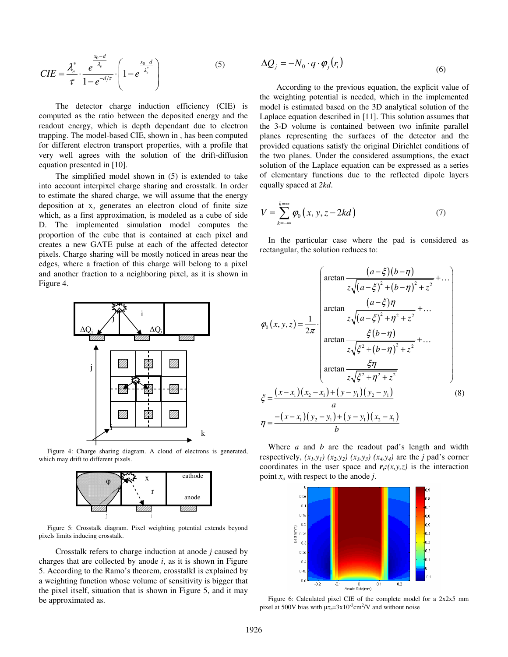$$
CIE = \frac{\lambda_e^*}{\tau} \cdot \frac{e^{\frac{x_0 - d}{\lambda_e}}}{1 - e^{-d/\tau}} \cdot \left(1 - e^{\frac{x_0 - d}{\lambda_e^*}}\right)
$$
 (5)

 The detector charge induction efficiency (CIE) is computed as the ratio between the deposited energy and the readout energy, which is depth dependant due to electron trapping. The model-based CIE, shown in , has been computed for different electron transport properties, with a profile that very well agrees with the solution of the drift-diffusion equation presented in [10].

 The simplified model shown in (5) is extended to take into account interpixel charge sharing and crosstalk. In order to estimate the shared charge, we will assume that the energy deposition at  $x_0$  generates an electron cloud of finite size which, as a first approximation, is modeled as a cube of side D. The implemented simulation model computes the proportion of the cube that is contained at each pixel and creates a new GATE pulse at each of the affected detector pixels. Charge sharing will be mostly noticed in areas near the edges, where a fraction of this charge will belong to a pixel and another fraction to a neighboring pixel, as it is shown in Figure 4.



Figure 4: Charge sharing diagram. A cloud of electrons is generated, which may drift to different pixels.



Figure 5: Crosstalk diagram. Pixel weighting potential extends beyond pixels limits inducing crosstalk.

 Crosstalk refers to charge induction at anode *j* caused by charges that are collected by anode  $i$ , as it is shown in Figure 5. According to the Ramo's theorem, crosstalkI is explained by a weighting function whose volume of sensitivity is bigger that the pixel itself, situation that is shown in Figure 5, and it may be approximated as.

$$
\Delta Q_j = -N_0 \cdot q \cdot \varphi_j(r_i) \tag{6}
$$

 According to the previous equation, the explicit value of the weighting potential is needed, which in the implemented model is estimated based on the 3D analytical solution of the Laplace equation described in [11]. This solution assumes that the 3-D volume is contained between two infinite parallel planes representing the surfaces of the detector and the provided equations satisfy the original Dirichlet conditions of the two planes. Under the considered assumptions, the exact solution of the Laplace equation can be expressed as a series of elementary functions due to the reflected dipole layers equally spaced at *2kd*.

$$
V = \sum_{k=-\infty}^{k=\infty} \varphi_0(x, y, z - 2kd)
$$
 (7)

In the particular case where the pad is considered as rectangular, the solution reduces to:

$$
\varphi_{0}(x, y, z) = \frac{1}{2\pi} \cdot \begin{pmatrix}\n\arctan \frac{(a-\xi)(b-\eta)}{z\sqrt{(a-\xi)^{2}+(b-\eta)^{2}+z^{2}}} + \dots \\
\arctan \frac{(a-\xi)\eta}{z\sqrt{(a-\xi)^{2}+\eta^{2}+z^{2}}} + \dots \\
\arctan \frac{\xi(b-\eta)}{z\sqrt{\xi^{2}+(b-\eta)^{2}+z^{2}}} + \dots \\
\arctan \frac{\xi\eta}{z\sqrt{\xi^{2}+\eta^{2}+z^{2}}} + \dots \\
\arctan \frac{\xi\eta}{z\sqrt{\xi^{2}+\eta^{2}+z^{2}}} + \dots \\
\frac{a}{a} \\
\eta = \frac{-(x-x_{1})(y_{2}-y_{1})+(y-y_{1})(y_{2}-y_{1})}{b}\n\end{pmatrix}
$$
\n(8)

Where *a* and *b* are the readout pad's length and width respectively,  $(x_1, y_1)$   $(x_2, y_2)$   $(x_3, y_3)$   $(x_4, y_4)$  are the *j* pad's corner coordinates in the user space and  $r_i(x,y,z)$  is the interaction point *xo* with respect to the anode *j*.



Figure 6: Calculated pixel CIE of the complete model for a 2x2x5 mm pixel at 500V bias with  $\mu\tau_e=3x10^{-3}$ cm<sup>2</sup>/V and without noise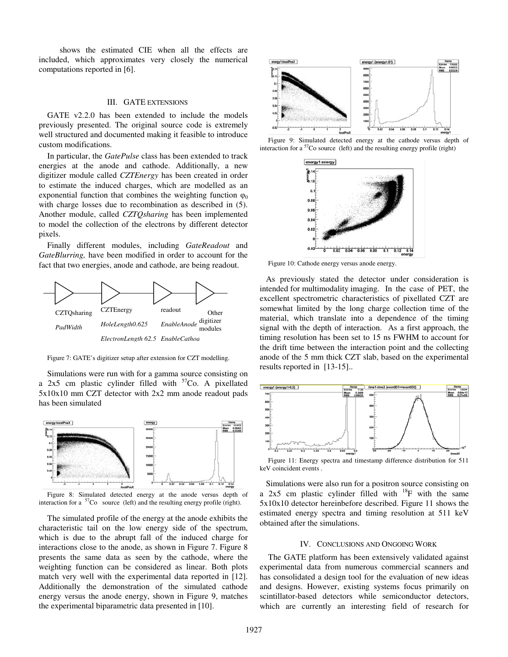shows the estimated CIE when all the effects are included, which approximates very closely the numerical computations reported in [6].

## III. GATE EXTENSIONS

GATE v2.2.0 has been extended to include the models previously presented. The original source code is extremely well structured and documented making it feasible to introduce custom modifications.

In particular, the *GatePulse* class has been extended to track energies at the anode and cathode. Additionally, a new digitizer module called *CZTEnergy* has been created in order to estimate the induced charges, which are modelled as an exponential function that combines the weighting function  $\varphi_0$ with charge losses due to recombination as described in (5). Another module, called *CZTQsharing* has been implemented to model the collection of the electrons by different detector pixels.

Finally different modules, including *GateReadout* and *GateBlurring,* have been modified in order to account for the fact that two energies, anode and cathode, are being readout.



Figure 7: GATE's digitizer setup after extension for CZT modelling.

Simulations were run with for a gamma source consisting on a  $2x5$  cm plastic cylinder filled with  $57C_0$ . A pixellated 5x10x10 mm CZT detector with 2x2 mm anode readout pads has been simulated



Figure 8: Simulated detected energy at the anode versus depth of interaction for a  $57C$ o source (left) and the resulting energy profile (right).

The simulated profile of the energy at the anode exhibits the characteristic tail on the low energy side of the spectrum, which is due to the abrupt fall of the induced charge for interactions close to the anode, as shown in Figure 7. Figure 8 presents the same data as seen by the cathode, where the weighting function can be considered as linear. Both plots match very well with the experimental data reported in [12]. Additionally the demonstration of the simulated cathode energy versus the anode energy, shown in Figure 9, matches the experimental biparametric data presented in [10].



Figure 9: Simulated detected energy at the cathode versus depth of interaction for a <sup>57</sup>Co source (left) and the resulting energy profile (right)



Figure 10: Cathode energy versus anode energy.

 As previously stated the detector under consideration is intended for multimodality imaging. In the case of PET, the excellent spectrometric characteristics of pixellated CZT are somewhat limited by the long charge collection time of the material, which translate into a dependence of the timing signal with the depth of interaction. As a first approach, the timing resolution has been set to 15 ns FWHM to account for the drift time between the interaction point and the collecting anode of the 5 mm thick CZT slab, based on the experimental results reported in [13-15]..



Figure 11: Energy spectra and timestamp difference distribution for 511 keV coincident events .

 Simulations were also run for a positron source consisting on a 2x5 cm plastic cylinder filled with  $^{18}$ F with the same 5x10x10 detector hereinbefore described. Figure 11 shows the estimated energy spectra and timing resolution at 511 keV obtained after the simulations.

#### IV. CONCLUSIONS AND ONGOING WORK

The GATE platform has been extensively validated against experimental data from numerous commercial scanners and has consolidated a design tool for the evaluation of new ideas and designs. However, existing systems focus primarily on scintillator-based detectors while semiconductor detectors, which are currently an interesting field of research for